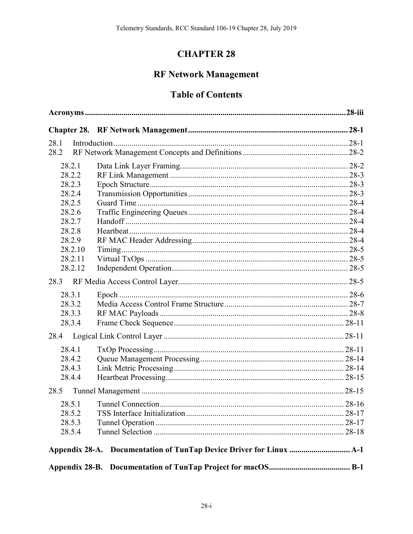# **CHAPTER 28**

# **RF Network Management**

# **Table of Contents**

| 28.1<br>28.2                                                                                                            |  |
|-------------------------------------------------------------------------------------------------------------------------|--|
| 28.2.1<br>28.2.2<br>28.2.3<br>28.2.4<br>28.2.5<br>28.2.6<br>28.2.7<br>28.2.8<br>28.2.9<br>28.2.10<br>28.2.11<br>28.2.12 |  |
| 28.3                                                                                                                    |  |
| 28.3.1<br>28.3.2<br>28.3.3<br>28.3.4                                                                                    |  |
| 28.4                                                                                                                    |  |
| 28.4.1<br>28.4.2<br>28.4.3<br>28.4.4                                                                                    |  |
| 28.5                                                                                                                    |  |
| 28.5.1<br>28.5.2<br>28.5.3<br>28.5.4                                                                                    |  |
|                                                                                                                         |  |
|                                                                                                                         |  |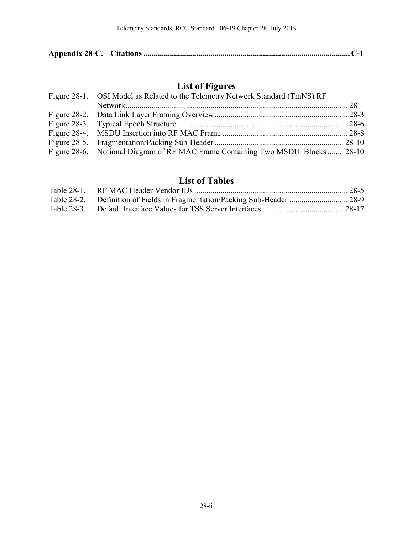|--|--|--|--|

# **List of Figures**

| Figure 28-1. OSI Model as Related to the Telemetry Network Standard (TmNS) RF   |  |
|---------------------------------------------------------------------------------|--|
|                                                                                 |  |
|                                                                                 |  |
|                                                                                 |  |
|                                                                                 |  |
|                                                                                 |  |
| Figure 28-6. Notional Diagram of RF MAC Frame Containing Two MSDU Blocks  28-10 |  |

# **List of Tables**

| Table 28-2. Definition of Fields in Fragmentation/Packing Sub-Header  28-9 |  |
|----------------------------------------------------------------------------|--|
|                                                                            |  |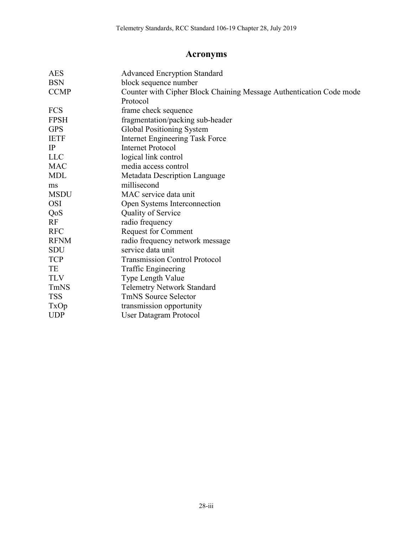# <span id="page-2-0"></span>**Acronyms**

| <b>AES</b>  | <b>Advanced Encryption Standard</b>                                 |
|-------------|---------------------------------------------------------------------|
| <b>BSN</b>  | block sequence number                                               |
| <b>CCMP</b> | Counter with Cipher Block Chaining Message Authentication Code mode |
|             | Protocol                                                            |
| <b>FCS</b>  | frame check sequence                                                |
| <b>FPSH</b> | fragmentation/packing sub-header                                    |
| <b>GPS</b>  | Global Positioning System                                           |
| <b>IETF</b> | <b>Internet Engineering Task Force</b>                              |
| IP          | <b>Internet Protocol</b>                                            |
| <b>LLC</b>  | logical link control                                                |
| <b>MAC</b>  | media access control                                                |
| <b>MDL</b>  | Metadata Description Language                                       |
| ms          | millisecond                                                         |
| <b>MSDU</b> | MAC service data unit                                               |
| <b>OSI</b>  | Open Systems Interconnection                                        |
| QoS         | Quality of Service                                                  |
| RF          | radio frequency                                                     |
| <b>RFC</b>  | <b>Request for Comment</b>                                          |
| <b>RFNM</b> | radio frequency network message                                     |
| SDU         | service data unit                                                   |
| <b>TCP</b>  | <b>Transmission Control Protocol</b>                                |
| TE          | Traffic Engineering                                                 |
| <b>TLV</b>  | Type Length Value                                                   |
| TmNS        | <b>Telemetry Network Standard</b>                                   |
| <b>TSS</b>  | <b>TmNS Source Selector</b>                                         |
| TxOp        | transmission opportunity                                            |
| <b>UDP</b>  | <b>User Datagram Protocol</b>                                       |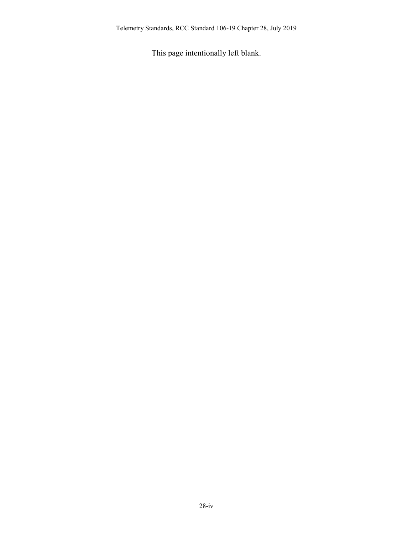This page intentionally left blank.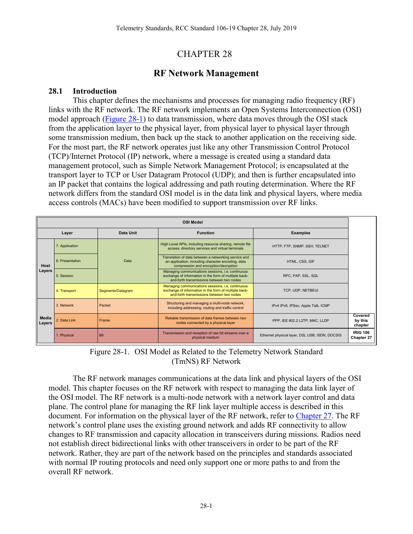## <span id="page-4-0"></span>CHAPTER 28

# **RF Network Management**

#### <span id="page-4-1"></span>**28.1 Introduction**

This chapter defines the mechanisms and processes for managing radio frequency (RF) links with the RF network. The RF network implements an Open Systems Interconnection (OSI) model approach [\(Figure 28-1\)](#page-4-2) to data transmission, where data moves through the OSI stack from the application layer to the physical layer, from physical layer to physical layer through some transmission medium, then back up the stack to another application on the receiving side. For the most part, the RF network operates just like any other Transmission Control Protocol (TCP)/Internet Protocol (IP) network, where a message is created using a standard data management protocol, such as Simple Network Management Protocol; is encapsulated at the transport layer to TCP or User Datagram Protocol (UDP); and then is further encapsulated into an IP packet that contains the logical addressing and path routing determination. Where the RF network differs from the standard OSI model is in the data link and physical layers, where media access controls (MACs) have been modified to support transmission over RF links.

|                 |                 |                   | <b>OSI Model</b>                                                                                                                                        |                                                |                               |
|-----------------|-----------------|-------------------|---------------------------------------------------------------------------------------------------------------------------------------------------------|------------------------------------------------|-------------------------------|
|                 | Layer           | Data Unit         | <b>Function</b>                                                                                                                                         | <b>Examples</b>                                |                               |
|                 | 7. Application  |                   | High Level APIs, including resource sharing, remote file<br>access, directory services and virtual terminals                                            | HTTP, FTP, SNMP, SSH, TELNET                   |                               |
| <b>Host</b>     | 6. Presentation | Data              | Translation of data between a networking service and<br>an application, including character encoding, data<br>compression and encryption/decryption     | HTML, CSS, GIF                                 |                               |
| Layers          | 5. Session      |                   | Managing communications sessions, i.e. continuous<br>exchange of information in the form of multiple back-<br>and-forth transmissions between two nodes | RPC, PAP, SSL, SQL                             |                               |
|                 | 4. Transport    | Segments/Datagram | Managing communications sessions, i.e. continuous<br>exchange of information in the form of multiple back-<br>and-forth transmissions between two nodes | TCP, UDP, NETBEUI                              |                               |
|                 | 3. Network      | Packet            | Structuring and managing a multi-node network,<br>including addressing, routing and traffic control                                                     | IPv4 IPv6, IPSec, Apple Talk, ICMP             |                               |
| Media<br>Layers | 2. Data Link    | Frame             | Reliable transmission of data frames between two<br>nodes connected by a physical layer                                                                 | PPP, IEE 802.2 L2TP, MAC, LLDP                 | Covered<br>by this<br>chapter |
|                 | 1. Physical     | <b>Bit</b>        | Transmission and reception of raw bit streams over a<br>physical medium                                                                                 | Ethernet physical layer, DSL USB, ISDN, DOCSIS | <b>IRIG 106</b><br>Chapter 27 |

Figure 28-1. OSI Model as Related to the Telemetry Network Standard (TmNS) RF Network

<span id="page-4-2"></span>The RF network manages communications at the data link and physical layers of the OSI model. This chapter focuses on the RF network with respect to managing the data link layer of the OSI model. The RF network is a multi-node network with a network layer control and data plane. The control plane for managing the RF link layer multiple access is described in this document. For information on the physical layer of the RF network, refer to [Chapter 27.](http://www.wsmr.army.mil/RCCsite/Documents/106-19_Telemetry_Standards/Chapter27.pdf) The RF network's control plane uses the existing ground network and adds RF connectivity to allow changes to RF transmission and capacity allocation in transceivers during missions. Radios need not establish direct bidirectional links with other transceivers in order to be part of the RF network. Rather, they are part of the network based on the principles and standards associated with normal IP routing protocols and need only support one or more paths to and from the overall RF network.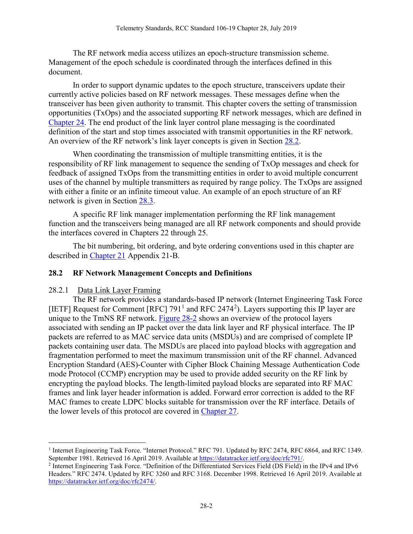The RF network media access utilizes an epoch-structure transmission scheme. Management of the epoch schedule is coordinated through the interfaces defined in this document.

In order to support dynamic updates to the epoch structure, transceivers update their currently active policies based on RF network messages. These messages define when the transceiver has been given authority to transmit. This chapter covers the setting of transmission opportunities (TxOps) and the associated supporting RF network messages, which are defined in [Chapter 24.](http://www.wsmr.army.mil/RCCsite/Documents/106-19_Telemetry_Standards/Chapter24.pdf) The end product of the link layer control plane messaging is the coordinated definition of the start and stop times associated with transmit opportunities in the RF network. An overview of the RF network's link layer concepts is given in Section [28.2.](#page-5-0)

When coordinating the transmission of multiple transmitting entities, it is the responsibility of RF link management to sequence the sending of TxOp messages and check for feedback of assigned TxOps from the transmitting entities in order to avoid multiple concurrent uses of the channel by multiple transmitters as required by range policy. The TxOps are assigned with either a finite or an infinite timeout value. An example of an epoch structure of an RF network is given in Section [28.3.](#page-8-3)

A specific RF link manager implementation performing the RF link management function and the transceivers being managed are all RF network components and should provide the interfaces covered in Chapters 22 through 25.

The bit numbering, bit ordering, and byte ordering conventions used in this chapter are described in [Chapter 21](http://www.wsmr.army.mil/RCCsite/Documents/106-19_Telemetry_Standards/Chapter21.pdf) Appendix 21-B.

#### <span id="page-5-0"></span>**28.2 RF Network Management Concepts and Definitions**

#### <span id="page-5-1"></span>28.2.1 Data Link Layer Framing

The RF network provides a standards-based IP network (Internet Engineering Task Force [IETF] Request for Comment [RFC]  $791<sup>1</sup>$  $791<sup>1</sup>$  $791<sup>1</sup>$  and RFC [2](#page-5-3)474<sup>2</sup>). Layers supporting this IP layer are unique to the TmNS RF network. [Figure 28-2](#page-6-3) shows an overview of the protocol layers associated with sending an IP packet over the data link layer and RF physical interface. The IP packets are referred to as MAC service data units (MSDUs) and are comprised of complete IP packets containing user data. The MSDUs are placed into payload blocks with aggregation and fragmentation performed to meet the maximum transmission unit of the RF channel. Advanced Encryption Standard (AES)-Counter with Cipher Block Chaining Message Authentication Code mode Protocol (CCMP) encryption may be used to provide added security on the RF link by encrypting the payload blocks. The length-limited payload blocks are separated into RF MAC frames and link layer header information is added. Forward error correction is added to the RF MAC frames to create LDPC blocks suitable for transmission over the RF interface. Details of the lower levels of this protocol are covered in [Chapter 27.](http://www.wsmr.army.mil/RCCsite/Documents/106-19_Telemetry_Standards/Chapter27.pdf)

<span id="page-5-2"></span><sup>&</sup>lt;sup>1</sup> Internet Engineering Task Force. "Internet Protocol." RFC 791. Updated by RFC 2474, RFC 6864, and RFC 1349. September 1981. Retrieved 16 April 2019. Available at [https://datatracker.ietf.org/doc/rfc791/.](https://datatracker.ietf.org/doc/rfc791/)

<span id="page-5-3"></span><sup>2</sup> Internet Engineering Task Force. "Definition of the Differentiated Services Field (DS Field) in the IPv4 and IPv6 Headers." RFC 2474. Updated by RFC 3260 and RFC 3168. December 1998. Retrieved 16 April 2019. Available at [https://datatracker.ietf.org/doc/rfc2474/.](https://datatracker.ietf.org/doc/rfc2474/)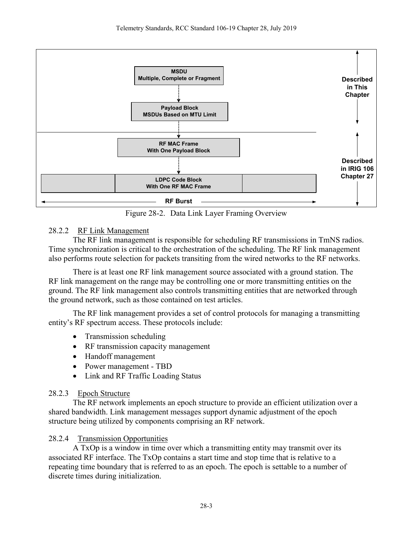

Figure 28-2. Data Link Layer Framing Overview

#### <span id="page-6-3"></span><span id="page-6-0"></span>28.2.2 RF Link Management

The RF link management is responsible for scheduling RF transmissions in TmNS radios. Time synchronization is critical to the orchestration of the scheduling. The RF link management also performs route selection for packets transiting from the wired networks to the RF networks.

There is at least one RF link management source associated with a ground station. The RF link management on the range may be controlling one or more transmitting entities on the ground. The RF link management also controls transmitting entities that are networked through the ground network, such as those contained on test articles.

The RF link management provides a set of control protocols for managing a transmitting entity's RF spectrum access. These protocols include:

- Transmission scheduling
- RF transmission capacity management
- Handoff management
- Power management TBD
- Link and RF Traffic Loading Status

#### <span id="page-6-1"></span>28.2.3 Epoch Structure

The RF network implements an epoch structure to provide an efficient utilization over a shared bandwidth. Link management messages support dynamic adjustment of the epoch structure being utilized by components comprising an RF network.

#### <span id="page-6-2"></span>28.2.4 Transmission Opportunities

A TxOp is a window in time over which a transmitting entity may transmit over its associated RF interface. The TxOp contains a start time and stop time that is relative to a repeating time boundary that is referred to as an epoch. The epoch is settable to a number of discrete times during initialization.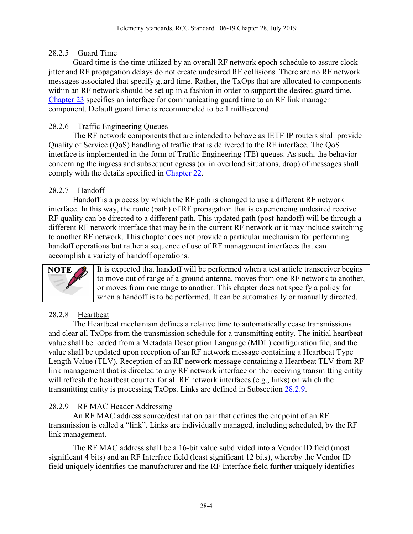## <span id="page-7-0"></span>28.2.5 Guard Time

Guard time is the time utilized by an overall RF network epoch schedule to assure clock jitter and RF propagation delays do not create undesired RF collisions. There are no RF network messages associated that specify guard time. Rather, the TxOps that are allocated to components within an RF network should be set up in a fashion in order to support the desired guard time. [Chapter 23](http://www.wsmr.army.mil/RCCsite/Documents/106-19_Telemetry_Standards/Chapter23.pdf) specifies an interface for communicating guard time to an RF link manager component. Default guard time is recommended to be 1 millisecond.

#### <span id="page-7-1"></span>28.2.6 Traffic Engineering Queues

The RF network components that are intended to behave as IETF IP routers shall provide Quality of Service (QoS) handling of traffic that is delivered to the RF interface. The QoS interface is implemented in the form of Traffic Engineering (TE) queues. As such, the behavior concerning the ingress and subsequent egress (or in overload situations, drop) of messages shall comply with the details specified in [Chapter 22.](http://www.wsmr.army.mil/RCCsite/Documents/106-19_Telemetry_Standards/Chapter22.pdf)

## <span id="page-7-2"></span>28.2.7 Handoff

Handoff is a process by which the RF path is changed to use a different RF network interface. In this way, the route (path) of RF propagation that is experiencing undesired receive RF quality can be directed to a different path. This updated path (post-handoff) will be through a different RF network interface that may be in the current RF network or it may include switching to another RF network. This chapter does not provide a particular mechanism for performing handoff operations but rather a sequence of use of RF management interfaces that can accomplish a variety of handoff operations.

# **NOTE**

It is expected that handoff will be performed when a test article transceiver begins to move out of range of a ground antenna, moves from one RF network to another, or moves from one range to another. This chapter does not specify a policy for when a handoff is to be performed. It can be automatically or manually directed.

## <span id="page-7-3"></span>28.2.8 Heartbeat

The Heartbeat mechanism defines a relative time to automatically cease transmissions and clear all TxOps from the transmission schedule for a transmitting entity. The initial heartbeat value shall be loaded from a Metadata Description Language (MDL) configuration file, and the value shall be updated upon reception of an RF network message containing a Heartbeat Type Length Value (TLV). Reception of an RF network message containing a Heartbeat TLV from RF link management that is directed to any RF network interface on the receiving transmitting entity will refresh the heartbeat counter for all RF network interfaces (e.g., links) on which the transmitting entity is processing TxOps. Links are defined in Subsection [28.2.9.](#page-7-4)

## <span id="page-7-4"></span>28.2.9 RF MAC Header Addressing

An RF MAC address source/destination pair that defines the endpoint of an RF transmission is called a "link". Links are individually managed, including scheduled, by the RF link management.

The RF MAC address shall be a 16-bit value subdivided into a Vendor ID field (most significant 4 bits) and an RF Interface field (least significant 12 bits), whereby the Vendor ID field uniquely identifies the manufacturer and the RF Interface field further uniquely identifies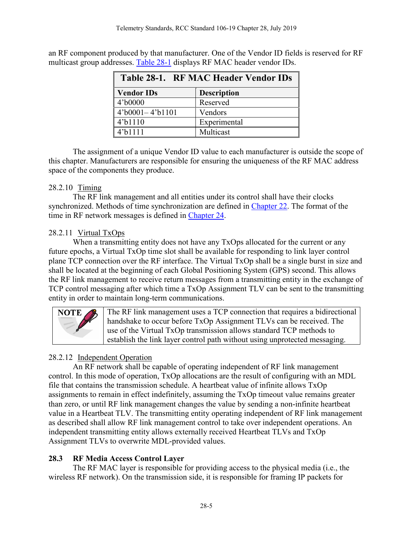<span id="page-8-4"></span>

|                        | Table 28-1. RF MAC Header Vendor IDs |
|------------------------|--------------------------------------|
| <b>Vendor IDs</b>      | <b>Description</b>                   |
| 4'b0000                | Reserved                             |
| $4'$ b0001-4'b1101     | Vendors                              |
| $4'$ b $1110$          | Experimental                         |
| $4'$ b <sub>1111</sub> | Multicast                            |

an RF component produced by that manufacturer. One of the Vendor ID fields is reserved for RF multicast group addresses. [Table 28-1](#page-8-4) displays RF MAC header vendor IDs.

The assignment of a unique Vendor ID value to each manufacturer is outside the scope of this chapter. Manufacturers are responsible for ensuring the uniqueness of the RF MAC address space of the components they produce.

## <span id="page-8-0"></span>28.2.10 Timing

The RF link management and all entities under its control shall have their clocks synchronized. Methods of time synchronization are defined in [Chapter 22.](http://www.wsmr.army.mil/RCCsite/Documents/106-19_Telemetry_Standards/Chapter22.pdf) The format of the time in RF network messages is defined in [Chapter 24.](http://www.wsmr.army.mil/RCCsite/Documents/106-19_Telemetry_Standards/Chapter24.pdf)

## <span id="page-8-1"></span>28.2.11 Virtual TxOps

When a transmitting entity does not have any TxOps allocated for the current or any future epochs, a Virtual TxOp time slot shall be available for responding to link layer control plane TCP connection over the RF interface. The Virtual TxOp shall be a single burst in size and shall be located at the beginning of each Global Positioning System (GPS) second. This allows the RF link management to receive return messages from a transmitting entity in the exchange of TCP control messaging after which time a TxOp Assignment TLV can be sent to the transmitting entity in order to maintain long-term communications.



The RF link management uses a TCP connection that requires a bidirectional handshake to occur before TxOp Assignment TLVs can be received. The use of the Virtual TxOp transmission allows standard TCP methods to establish the link layer control path without using unprotected messaging.

## <span id="page-8-2"></span>28.2.12 Independent Operation

An RF network shall be capable of operating independent of RF link management control. In this mode of operation, TxOp allocations are the result of configuring with an MDL file that contains the transmission schedule. A heartbeat value of infinite allows TxOp assignments to remain in effect indefinitely, assuming the TxOp timeout value remains greater than zero, or until RF link management changes the value by sending a non-infinite heartbeat value in a Heartbeat TLV. The transmitting entity operating independent of RF link management as described shall allow RF link management control to take over independent operations. An independent transmitting entity allows externally received Heartbeat TLVs and TxOp Assignment TLVs to overwrite MDL-provided values.

## <span id="page-8-3"></span>**28.3 RF Media Access Control Layer**

The RF MAC layer is responsible for providing access to the physical media (i.e., the wireless RF network). On the transmission side, it is responsible for framing IP packets for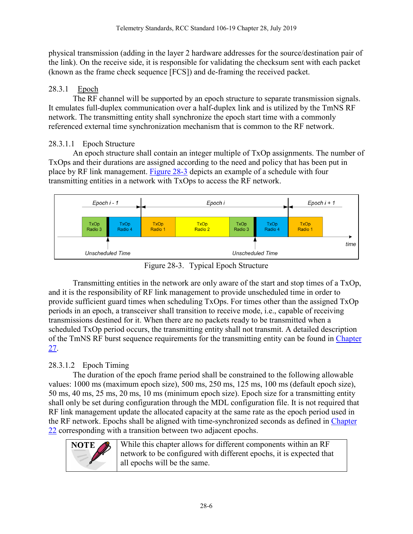physical transmission (adding in the layer 2 hardware addresses for the source/destination pair of the link). On the receive side, it is responsible for validating the checksum sent with each packet (known as the frame check sequence [FCS]) and de-framing the received packet.

## <span id="page-9-0"></span>28.3.1 Epoch

The RF channel will be supported by an epoch structure to separate transmission signals. It emulates full-duplex communication over a half-duplex link and is utilized by the TmNS RF network. The transmitting entity shall synchronize the epoch start time with a commonly referenced external time synchronization mechanism that is common to the RF network.

## 28.3.1.1 Epoch Structure

An epoch structure shall contain an integer multiple of TxOp assignments. The number of TxOps and their durations are assigned according to the need and policy that has been put in place by RF link management. [Figure 28-3](#page-9-1) depicts an example of a schedule with four transmitting entities in a network with TxOps to access the RF network.



Figure 28-3. Typical Epoch Structure

<span id="page-9-1"></span>Transmitting entities in the network are only aware of the start and stop times of a TxOp, and it is the responsibility of RF link management to provide unscheduled time in order to provide sufficient guard times when scheduling TxOps. For times other than the assigned TxOp periods in an epoch, a transceiver shall transition to receive mode, i.e., capable of receiving transmissions destined for it. When there are no packets ready to be transmitted when a scheduled TxOp period occurs, the transmitting entity shall not transmit. A detailed description of the TmNS RF burst sequence requirements for the transmitting entity can be found in [Chapter](http://www.wsmr.army.mil/RCCsite/Documents/106-19_Telemetry_Standards/Chapter27.pdf)  [27.](http://www.wsmr.army.mil/RCCsite/Documents/106-19_Telemetry_Standards/Chapter27.pdf)

## 28.3.1.2 Epoch Timing

The duration of the epoch frame period shall be constrained to the following allowable values: 1000 ms (maximum epoch size), 500 ms, 250 ms, 125 ms, 100 ms (default epoch size), 50 ms, 40 ms, 25 ms, 20 ms, 10 ms (minimum epoch size). Epoch size for a transmitting entity shall only be set during configuration through the MDL configuration file. It is not required that RF link management update the allocated capacity at the same rate as the epoch period used in the RF network. Epochs shall be aligned with time-synchronized seconds as defined in [Chapter](http://www.wsmr.army.mil/RCCsite/Documents/106-19_Telemetry_Standards/Chapter22.pdf)  [22](http://www.wsmr.army.mil/RCCsite/Documents/106-19_Telemetry_Standards/Chapter22.pdf) corresponding with a transition between two adjacent epochs.

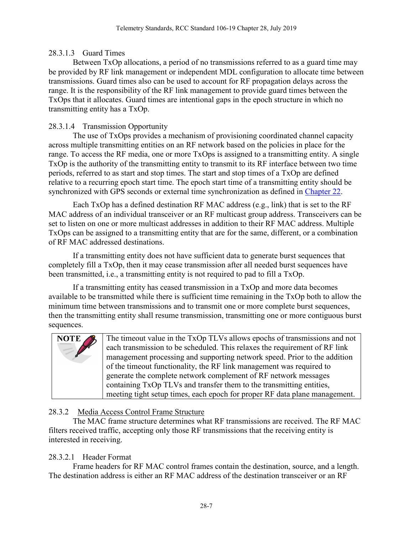#### 28.3.1.3 Guard Times

Between TxOp allocations, a period of no transmissions referred to as a guard time may be provided by RF link management or independent MDL configuration to allocate time between transmissions. Guard times also can be used to account for RF propagation delays across the range. It is the responsibility of the RF link management to provide guard times between the TxOps that it allocates. Guard times are intentional gaps in the epoch structure in which no transmitting entity has a TxOp.

#### 28.3.1.4 Transmission Opportunity

The use of TxOps provides a mechanism of provisioning coordinated channel capacity across multiple transmitting entities on an RF network based on the policies in place for the range. To access the RF media, one or more TxOps is assigned to a transmitting entity. A single TxOp is the authority of the transmitting entity to transmit to its RF interface between two time periods, referred to as start and stop times. The start and stop times of a TxOp are defined relative to a recurring epoch start time. The epoch start time of a transmitting entity should be synchronized with GPS seconds or external time synchronization as defined in [Chapter 22.](http://www.wsmr.army.mil/RCCsite/Documents/106-19_Telemetry_Standards/Chapter22.pdf)

Each TxOp has a defined destination RF MAC address (e.g., link) that is set to the RF MAC address of an individual transceiver or an RF multicast group address. Transceivers can be set to listen on one or more multicast addresses in addition to their RF MAC address. Multiple TxOps can be assigned to a transmitting entity that are for the same, different, or a combination of RF MAC addressed destinations.

If a transmitting entity does not have sufficient data to generate burst sequences that completely fill a TxOp, then it may cease transmission after all needed burst sequences have been transmitted, i.e., a transmitting entity is not required to pad to fill a TxOp.

If a transmitting entity has ceased transmission in a TxOp and more data becomes available to be transmitted while there is sufficient time remaining in the TxOp both to allow the minimum time between transmissions and to transmit one or more complete burst sequences, then the transmitting entity shall resume transmission, transmitting one or more contiguous burst sequences.

| <b>NOTE</b>        | The timeout value in the TxOp TLVs allows epochs of transmissions and not  |
|--------------------|----------------------------------------------------------------------------|
| <b>Mary Marine</b> |                                                                            |
|                    | each transmission to be scheduled. This relaxes the requirement of RF link |
|                    | management processing and supporting network speed. Prior to the addition  |
|                    | of the timeout functionality, the RF link management was required to       |
|                    | generate the complete network complement of RF network messages            |
|                    | containing TxOp TLVs and transfer them to the transmitting entities,       |
|                    | meeting tight setup times, each epoch for proper RF data plane management. |

## <span id="page-10-0"></span>28.3.2 Media Access Control Frame Structure

The MAC frame structure determines what RF transmissions are received. The RF MAC filters received traffic, accepting only those RF transmissions that the receiving entity is interested in receiving.

#### 28.3.2.1 Header Format

Frame headers for RF MAC control frames contain the destination, source, and a length. The destination address is either an RF MAC address of the destination transceiver or an RF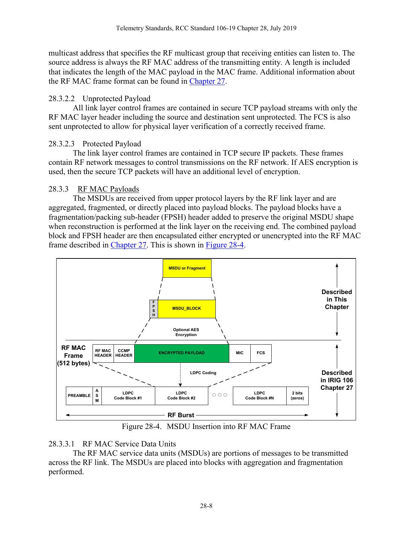multicast address that specifies the RF multicast group that receiving entities can listen to. The source address is always the RF MAC address of the transmitting entity. A length is included that indicates the length of the MAC payload in the MAC frame. Additional information about the RF MAC frame format can be found in [Chapter 27.](http://www.wsmr.army.mil/RCCsite/Documents/106-19_Telemetry_Standards/Chapter27.pdf)

#### 28.3.2.2 Unprotected Payload

All link layer control frames are contained in secure TCP payload streams with only the RF MAC layer header including the source and destination sent unprotected. The FCS is also sent unprotected to allow for physical layer verification of a correctly received frame.

## 28.3.2.3 Protected Payload

The link layer control frames are contained in TCP secure IP packets. These frames contain RF network messages to control transmissions on the RF network. If AES encryption is used, then the secure TCP packets will have an additional level of encryption.

#### <span id="page-11-0"></span>28.3.3 RF MAC Payloads

The MSDUs are received from upper protocol layers by the RF link layer and are aggregated, fragmented, or directly placed into payload blocks. The payload blocks have a fragmentation/packing sub-header (FPSH) header added to preserve the original MSDU shape when reconstruction is performed at the link layer on the receiving end. The combined payload block and FPSH header are then encapsulated either encrypted or unencrypted into the RF MAC frame described in [Chapter 27.](http://www.wsmr.army.mil/RCCsite/Documents/106-19_Telemetry_Standards/Chapter27.pdf) This is shown in [Figure 28-4.](#page-11-1)



Figure 28-4. MSDU Insertion into RF MAC Frame

## <span id="page-11-1"></span>28.3.3.1 RF MAC Service Data Units

The RF MAC service data units (MSDUs) are portions of messages to be transmitted across the RF link. The MSDUs are placed into blocks with aggregation and fragmentation performed.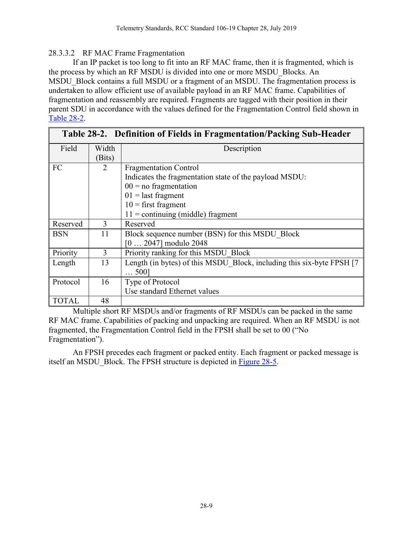#### 28.3.3.2 RF MAC Frame Fragmentation

If an IP packet is too long to fit into an RF MAC frame, then it is fragmented, which is the process by which an RF MSDU is divided into one or more MSDU\_Blocks. An MSDU Block contains a full MSDU or a fragment of an MSDU. The fragmentation process is undertaken to allow efficient use of available payload in an RF MAC frame. Capabilities of fragmentation and reassembly are required. Fragments are tagged with their position in their parent SDU in accordance with the values defined for the Fragmentation Control field shown in [Table 28-2.](#page-12-0)

<span id="page-12-0"></span>

|              |        | Table 28-2. Definition of Fields in Fragmentation/Packing Sub-Header   |
|--------------|--------|------------------------------------------------------------------------|
| Field        | Width  | Description                                                            |
|              | (Bits) |                                                                        |
| FC           | 2      | <b>Fragmentation Control</b>                                           |
|              |        | Indicates the fragmentation state of the payload MSDU:                 |
|              |        | $00 =$ no fragmentation                                                |
|              |        | $01$ = last fragment                                                   |
|              |        | $10 =$ first fragment                                                  |
|              |        | $11 =$ continuing (middle) fragment                                    |
| Reserved     | 3      | Reserved                                                               |
| <b>BSN</b>   | 11     | Block sequence number (BSN) for this MSDU Block                        |
|              |        | $[0 2047]$ modulo 2048                                                 |
| Priority     | 3      | Priority ranking for this MSDU Block                                   |
| Length       | 13     | Length (in bytes) of this MSDU Block, including this six-byte FPSH [7] |
|              |        | 500]                                                                   |
| Protocol     | 16     | Type of Protocol                                                       |
|              |        | Use standard Ethernet values                                           |
| <b>TOTAL</b> | 48     |                                                                        |

Multiple short RF MSDUs and/or fragments of RF MSDUs can be packed in the same RF MAC frame. Capabilities of packing and unpacking are required. When an RF MSDU is not fragmented, the Fragmentation Control field in the FPSH shall be set to 00 ("No Fragmentation").

An FPSH precedes each fragment or packed entity. Each fragment or packed message is itself an MSDU Block. The FPSH structure is depicted in [Figure 28-5.](#page-13-0)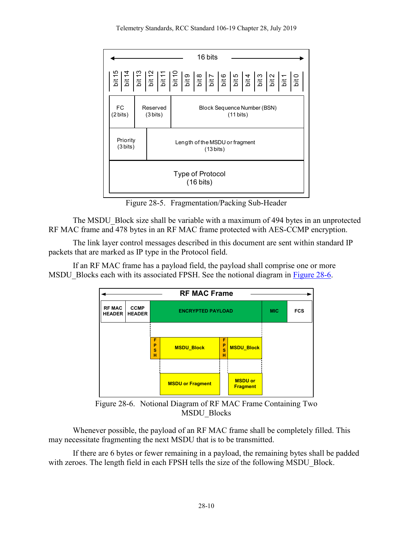|                                                                                             |                                |                                |                                | 16 bits                                                                                                                                                                                                                                                                                                                                                                                                                                                                   |   |                                                    |            |            |  |
|---------------------------------------------------------------------------------------------|--------------------------------|--------------------------------|--------------------------------|---------------------------------------------------------------------------------------------------------------------------------------------------------------------------------------------------------------------------------------------------------------------------------------------------------------------------------------------------------------------------------------------------------------------------------------------------------------------------|---|----------------------------------------------------|------------|------------|--|
|                                                                                             | bit 1!                         | bit 14<br>bit 13               |                                | $\left \frac{1}{12}\right \frac{1}{12}\left \frac{1}{12}\right \frac{1}{12}\left \frac{1}{12}\right \frac{1}{12}\left \frac{1}{12}\right \frac{1}{12}\left \frac{1}{12}\right \frac{1}{12}\left \frac{1}{12}\right \frac{1}{12}\left \frac{1}{12}\right \frac{1}{12}\left \frac{1}{12}\right \frac{1}{12}\left \frac{1}{12}\right \frac{1}{12}\left \frac{1}{12}\right \frac{1}{12}\left \frac{1}{12}\right \frac{1}{12}\left \frac{1}{12}\right \frac{1}{12}\left \frac$ |   |                                                    |            | bit 0      |  |
|                                                                                             | FC<br>(2 bits)                 |                                | Reserved<br>$(3 \text{ bits})$ |                                                                                                                                                                                                                                                                                                                                                                                                                                                                           |   | Block Sequence Number (BSN)<br>$(11 \text{ bits})$ |            |            |  |
|                                                                                             |                                | Priority<br>$(3 \text{ bits})$ |                                | Length of the MSDU or fragment<br>$(13 \text{ bits})$                                                                                                                                                                                                                                                                                                                                                                                                                     |   |                                                    |            |            |  |
|                                                                                             |                                |                                |                                | <b>Type of Protocol</b><br>$(16 \text{ bits})$                                                                                                                                                                                                                                                                                                                                                                                                                            |   |                                                    |            |            |  |
|                                                                                             |                                |                                |                                | Figure 28-5. Fragmentation/Packing Sub-Header                                                                                                                                                                                                                                                                                                                                                                                                                             |   |                                                    |            |            |  |
| RF MAC frame and 478 bytes in an RF MAC frame protected with AES-CCMP encrypt               |                                |                                |                                | The MSDU Block size shall be variable with a maximum of 494 bytes in an unp                                                                                                                                                                                                                                                                                                                                                                                               |   |                                                    |            |            |  |
| packets that are marked as IP type in the Protocol field.                                   |                                |                                |                                | The link layer control messages described in this document are sent within standard                                                                                                                                                                                                                                                                                                                                                                                       |   |                                                    |            |            |  |
| MSDU_Blocks each with its associated FPSH. See the notional diagram in <b>Figure 28-6</b> . |                                |                                |                                | If an RF MAC frame has a payload field, the payload shall comprise one or more                                                                                                                                                                                                                                                                                                                                                                                            |   |                                                    |            |            |  |
|                                                                                             |                                |                                |                                | <b>RF MAC Frame</b>                                                                                                                                                                                                                                                                                                                                                                                                                                                       |   |                                                    |            |            |  |
|                                                                                             | <b>RF MAC</b><br><b>HEADER</b> | <b>CCMP</b><br><b>HEADER</b>   |                                | <b>ENCRYPTED PAYLOAD</b>                                                                                                                                                                                                                                                                                                                                                                                                                                                  |   |                                                    | <b>MIC</b> | <b>FCS</b> |  |
|                                                                                             |                                |                                |                                |                                                                                                                                                                                                                                                                                                                                                                                                                                                                           |   |                                                    |            |            |  |
|                                                                                             |                                |                                |                                |                                                                                                                                                                                                                                                                                                                                                                                                                                                                           |   |                                                    |            |            |  |
|                                                                                             |                                |                                | P<br>s<br>н                    | <b>MSDU_Block</b>                                                                                                                                                                                                                                                                                                                                                                                                                                                         | н | <b>MSDU_Block</b>                                  |            |            |  |
|                                                                                             |                                |                                |                                | <b>MSDU or Fragment</b>                                                                                                                                                                                                                                                                                                                                                                                                                                                   |   | <b>MSDU or</b><br><b>Fragment</b>                  |            |            |  |
|                                                                                             |                                |                                |                                | Figure 28-6. Notional Diagram of RF MAC Frame Containing Two<br><b>MSDU Blocks</b>                                                                                                                                                                                                                                                                                                                                                                                        |   |                                                    |            |            |  |
| may necessitate fragmenting the next MSDU that is to be transmitted.                        |                                |                                |                                | Whenever possible, the payload of an RF MAC frame shall be completely filled.                                                                                                                                                                                                                                                                                                                                                                                             |   |                                                    |            |            |  |

Figure 28-5. Fragmentation/Packing Sub-Header

<span id="page-13-0"></span>The MSDU Block size shall be variable with a maximum of 494 bytes in an unprotected RF MAC frame and 478 bytes in an RF MAC frame protected with AES-CCMP encryption.

The link layer control messages described in this document are sent within standard IP packets that are marked as IP type in the Protocol field.



Figure 28-6. Notional Diagram of RF MAC Frame Containing Two MSDU\_Blocks

<span id="page-13-1"></span>Whenever possible, the payload of an RF MAC frame shall be completely filled. This may necessitate fragmenting the next MSDU that is to be transmitted.

If there are 6 bytes or fewer remaining in a payload, the remaining bytes shall be padded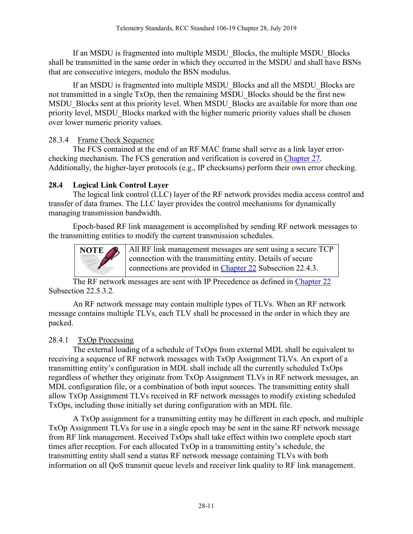If an MSDU is fragmented into multiple MSDU\_Blocks, the multiple MSDU\_Blocks shall be transmitted in the same order in which they occurred in the MSDU and shall have BSNs that are consecutive integers, modulo the BSN modulus.

If an MSDU is fragmented into multiple MSDU\_Blocks and all the MSDU\_Blocks are not transmitted in a single TxOp, then the remaining MSDU\_Blocks should be the first new MSDU\_Blocks sent at this priority level. When MSDU\_Blocks are available for more than one priority level, MSDU\_Blocks marked with the higher numeric priority values shall be chosen over lower numeric priority values.

#### <span id="page-14-0"></span>28.3.4 Frame Check Sequence

The FCS contained at the end of an RF MAC frame shall serve as a link layer errorchecking mechanism. The FCS generation and verification is covered in [Chapter 27.](http://www.wsmr.army.mil/RCCsite/Documents/106-19_Telemetry_Standards/Chapter27.pdf) Additionally, the higher-layer protocols (e.g., IP checksums) perform their own error checking.

## <span id="page-14-1"></span>**28.4 Logical Link Control Layer**

The logical link control (LLC) layer of the RF network provides media access control and transfer of data frames. The LLC layer provides the control mechanisms for dynamically managing transmission bandwidth.

Epoch-based RF link management is accomplished by sending RF network messages to the transmitting entities to modify the current transmission schedules.



The RF network messages are sent with IP Precedence as defined in [Chapter 22](http://www.wsmr.army.mil/RCCsite/Documents/106-19_Telemetry_Standards/Chapter22.pdf) Subsection 22.5.3.2.

An RF network message may contain multiple types of TLVs. When an RF network message contains multiple TLVs, each TLV shall be processed in the order in which they are packed.

## <span id="page-14-2"></span>28.4.1 TxOp Processing

The external loading of a schedule of TxOps from external MDL shall be equivalent to receiving a sequence of RF network messages with TxOp Assignment TLVs. An export of a transmitting entity's configuration in MDL shall include all the currently scheduled TxOps regardless of whether they originate from TxOp Assignment TLVs in RF network messages, an MDL configuration file, or a combination of both input sources. The transmitting entity shall allow TxOp Assignment TLVs received in RF network messages to modify existing scheduled TxOps, including those initially set during configuration with an MDL file.

A TxOp assignment for a transmitting entity may be different in each epoch, and multiple TxOp Assignment TLVs for use in a single epoch may be sent in the same RF network message from RF link management. Received TxOps shall take effect within two complete epoch start times after reception. For each allocated TxOp in a transmitting entity's schedule, the transmitting entity shall send a status RF network message containing TLVs with both information on all QoS transmit queue levels and receiver link quality to RF link management.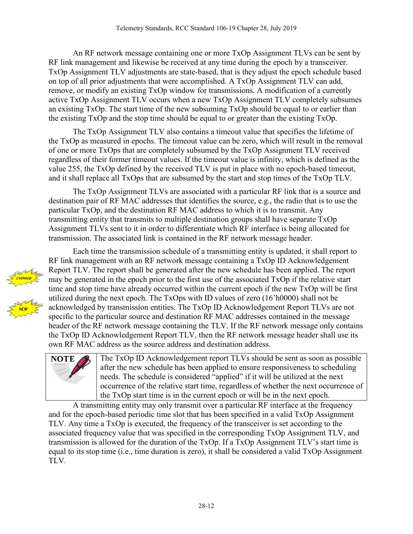An RF network message containing one or more TxOp Assignment TLVs can be sent by RF link management and likewise be received at any time during the epoch by a transceiver. TxOp Assignment TLV adjustments are state-based, that is they adjust the epoch schedule based on top of all prior adjustments that were accomplished. A TxOp Assignment TLV can add, remove, or modify an existing TxOp window for transmissions. A modification of a currently active TxOp Assignment TLV occurs when a new TxOp Assignment TLV completely subsumes an existing TxOp. The start time of the new subsuming TxOp should be equal to or earlier than the existing TxOp and the stop time should be equal to or greater than the existing TxOp.

The TxOp Assignment TLV also contains a timeout value that specifies the lifetime of the TxOp as measured in epochs. The timeout value can be zero, which will result in the removal of one or more TxOps that are completely subsumed by the TxOp Assignment TLV received regardless of their former timeout values. If the timeout value is infinity, which is defined as the value 255, the TxOp defined by the received TLV is put in place with no epoch-based timeout, and it shall replace all TxOps that are subsumed by the start and stop times of the TxOp TLV.

The TxOp Assignment TLVs are associated with a particular RF link that is a source and destination pair of RF MAC addresses that identifies the source, e.g., the radio that is to use the particular TxOp, and the destination RF MAC address to which it is to transmit. Any transmitting entity that transmits to multiple destination groups shall have separate TxOp Assignment TLVs sent to it in order to differentiate which RF interface is being allocated for transmission. The associated link is contained in the RF network message header.



Each time the transmission schedule of a transmitting entity is updated, it shall report to RF link management with an RF network message containing a TxOp ID Acknowledgement Report TLV. The report shall be generated after the new schedule has been applied. The report may be generated in the epoch prior to the first use of the associated TxOp if the relative start time and stop time have already occurred within the current epoch if the new TxOp will be first utilized during the next epoch. The TxOps with ID values of zero (16'h0000) shall not be acknowledged by transmission entities. The TxOp ID Acknowledgement Report TLVs are not specific to the particular source and destination RF MAC addresses contained in the message header of the RF network message containing the TLV. If the RF network message only contains the TxOp ID Acknowledgement Report TLV, then the RF network message header shall use its own RF MAC address as the source address and destination address.

**NOTE** 

The TxOp ID Acknowledgement report TLVs should be sent as soon as possible after the new schedule has been applied to ensure responsiveness to scheduling needs. The schedule is considered "applied" if it will be utilized at the next occurrence of the relative start time, regardless of whether the next occurrence of the TxOp start time is in the current epoch or will be in the next epoch.

A transmitting entity may only transmit over a particular RF interface at the frequency and for the epoch-based periodic time slot that has been specified in a valid TxOp Assignment TLV. Any time a TxOp is executed, the frequency of the transceiver is set according to the associated frequency value that was specified in the corresponding TxOp Assignment TLV, and transmission is allowed for the duration of the TxOp. If a TxOp Assignment TLV's start time is equal to its stop time (i.e., time duration is zero), it shall be considered a valid TxOp Assignment TLV.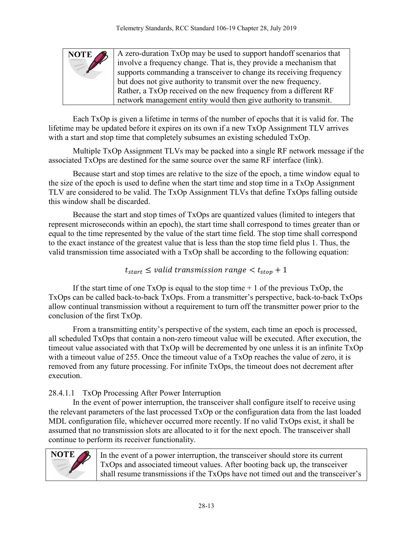| NOTE | A zero-duration TxOp may be used to support handoff scenarios that  |  |  |  |
|------|---------------------------------------------------------------------|--|--|--|
|      | involve a frequency change. That is, they provide a mechanism that  |  |  |  |
|      | supports commanding a transceiver to change its receiving frequency |  |  |  |
|      | but does not give authority to transmit over the new frequency.     |  |  |  |
|      | Rather, a TxOp received on the new frequency from a different RF    |  |  |  |
|      | network management entity would then give authority to transmit.    |  |  |  |

Each TxOp is given a lifetime in terms of the number of epochs that it is valid for. The lifetime may be updated before it expires on its own if a new TxOp Assignment TLV arrives with a start and stop time that completely subsumes an existing scheduled TxOp.

Multiple TxOp Assignment TLVs may be packed into a single RF network message if the associated TxOps are destined for the same source over the same RF interface (link).

Because start and stop times are relative to the size of the epoch, a time window equal to the size of the epoch is used to define when the start time and stop time in a TxOp Assignment TLV are considered to be valid. The TxOp Assignment TLVs that define TxOps falling outside this window shall be discarded.

Because the start and stop times of TxOps are quantized values (limited to integers that represent microseconds within an epoch), the start time shall correspond to times greater than or equal to the time represented by the value of the start time field. The stop time shall correspond to the exact instance of the greatest value that is less than the stop time field plus 1. Thus, the valid transmission time associated with a TxOp shall be according to the following equation:

 $t_{start} \leq$  valid transmission range  $\lt t_{stop} + 1$ 

If the start time of one  $TxOp$  is equal to the stop time  $+1$  of the previous  $TxOp$ , the TxOps can be called back-to-back TxOps. From a transmitter's perspective, back-to-back TxOps allow continual transmission without a requirement to turn off the transmitter power prior to the conclusion of the first TxOp.

From a transmitting entity's perspective of the system, each time an epoch is processed, all scheduled TxOps that contain a non-zero timeout value will be executed. After execution, the timeout value associated with that TxOp will be decremented by one unless it is an infinite TxOp with a timeout value of 255. Once the timeout value of a TxOp reaches the value of zero, it is removed from any future processing. For infinite TxOps, the timeout does not decrement after execution.

## 28.4.1.1 TxOp Processing After Power Interruption

In the event of power interruption, the transceiver shall configure itself to receive using the relevant parameters of the last processed TxOp or the configuration data from the last loaded MDL configuration file, whichever occurred more recently. If no valid TxOps exist, it shall be assumed that no transmission slots are allocated to it for the next epoch. The transceiver shall continue to perform its receiver functionality.



In the event of a power interruption, the transceiver should store its current TxOps and associated timeout values. After booting back up, the transceiver shall resume transmissions if the TxOps have not timed out and the transceiver's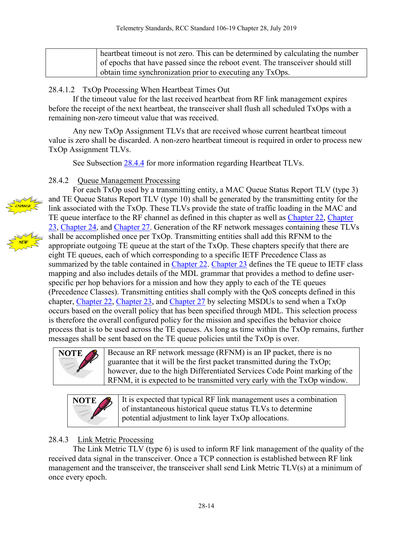| heartbeat timeout is not zero. This can be determined by calculating the number |
|---------------------------------------------------------------------------------|
| of epochs that have passed since the reboot event. The transceiver should still |
| obtain time synchronization prior to executing any TxOps.                       |

## 28.4.1.2 TxOp Processing When Heartbeat Times Out

If the timeout value for the last received heartbeat from RF link management expires before the receipt of the next heartbeat, the transceiver shall flush all scheduled TxOps with a remaining non-zero timeout value that was received.

Any new TxOp Assignment TLVs that are received whose current heartbeat timeout value is zero shall be discarded. A non-zero heartbeat timeout is required in order to process new TxOp Assignment TLVs.

See Subsection [28.4.4](#page-18-0) for more information regarding Heartbeat TLVs.

#### <span id="page-17-0"></span>28.4.2 Queue Management Processing



For each TxOp used by a transmitting entity, a MAC Queue Status Report TLV (type 3) and TE Queue Status Report TLV (type 10) shall be generated by the transmitting entity for the link associated with the TxOp. These TLVs provide the state of traffic loading in the MAC and TE queue interface to the RF channel as defined in this chapter as well as [Chapter 22,](http://www.wsmr.army.mil/RCCsite/Documents/106-19_Telemetry_Standards/Chapter22.pdf) [Chapter](http://www.wsmr.army.mil/RCCsite/Documents/106-19_Telemetry_Standards/Chapter23.pdf)  [23,](http://www.wsmr.army.mil/RCCsite/Documents/106-19_Telemetry_Standards/Chapter23.pdf) [Chapter 24,](http://www.wsmr.army.mil/RCCsite/Documents/106-19_Telemetry_Standards/Chapter24.pdf) and [Chapter 27.](http://www.wsmr.army.mil/RCCsite/Documents/106-19_Telemetry_Standards/Chapter27.pdf) Generation of the RF network messages containing these TLVs shall be accomplished once per TxOp. Transmitting entities shall add this RFNM to the appropriate outgoing TE queue at the start of the TxOp. These chapters specify that there are eight TE queues, each of which corresponding to a specific IETF Precedence Class as summarized by the table contained in [Chapter 22.](http://www.wsmr.army.mil/RCCsite/Documents/106-19_Telemetry_Standards/Chapter22.pdf) [Chapter 23](http://www.wsmr.army.mil/RCCsite/Documents/106-19_Telemetry_Standards/Chapter23.pdf) defines the TE queue to IETF class mapping and also includes details of the MDL grammar that provides a method to define userspecific per hop behaviors for a mission and how they apply to each of the TE queues (Precedence Classes). Transmitting entities shall comply with the QoS concepts defined in this chapter, [Chapter 22,](http://www.wsmr.army.mil/RCCsite/Documents/106-19_Telemetry_Standards/Chapter22.pdf) [Chapter 23,](http://www.wsmr.army.mil/RCCsite/Documents/106-19_Telemetry_Standards/Chapter23.pdf) and [Chapter 27](http://www.wsmr.army.mil/RCCsite/Documents/106-19_Telemetry_Standards/Chapter27.pdf) by selecting MSDUs to send when a TxOp occurs based on the overall policy that has been specified through MDL. This selection process is therefore the overall configured policy for the mission and specifies the behavior choice process that is to be used across the TE queues. As long as time within the TxOp remains, further messages shall be sent based on the TE queue policies until the TxOp is over.

> Because an RF network message (RFNM) is an IP packet, there is no guarantee that it will be the first packet transmitted during the TxOp; however, due to the high Differentiated Services Code Point marking of the RFNM, it is expected to be transmitted very early with the TxOp window.

It is expected that typical RF link management uses a combination of instantaneous historical queue status TLVs to determine potential adjustment to link layer TxOp allocations.

#### <span id="page-17-1"></span>28.4.3 Link Metric Processing

**NOTE** 

**NOTE** 

The Link Metric TLV (type 6) is used to inform RF link management of the quality of the received data signal in the transceiver. Once a TCP connection is established between RF link management and the transceiver, the transceiver shall send Link Metric TLV(s) at a minimum of once every epoch.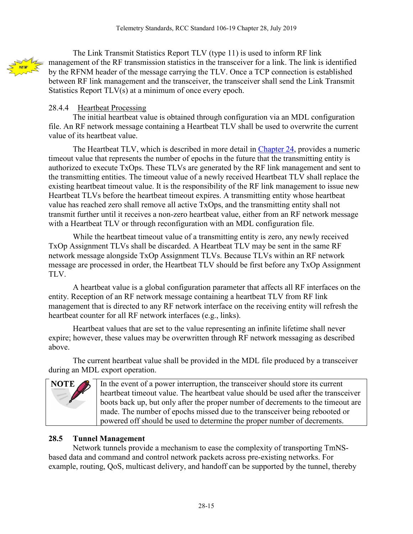

The Link Transmit Statistics Report TLV (type 11) is used to inform RF link management of the RF transmission statistics in the transceiver for a link. The link is identified by the RFNM header of the message carrying the TLV. Once a TCP connection is established between RF link management and the transceiver, the transceiver shall send the Link Transmit Statistics Report TLV(s) at a minimum of once every epoch.

#### <span id="page-18-0"></span>28.4.4 Heartbeat Processing

The initial heartbeat value is obtained through configuration via an MDL configuration file. An RF network message containing a Heartbeat TLV shall be used to overwrite the current value of its heartbeat value.

The Heartbeat TLV, which is described in more detail in [Chapter 24,](http://www.wsmr.army.mil/RCCsite/Documents/106-19_Telemetry_Standards/Chapter24.pdf) provides a numeric timeout value that represents the number of epochs in the future that the transmitting entity is authorized to execute TxOps. These TLVs are generated by the RF link management and sent to the transmitting entities. The timeout value of a newly received Heartbeat TLV shall replace the existing heartbeat timeout value. It is the responsibility of the RF link management to issue new Heartbeat TLVs before the heartbeat timeout expires. A transmitting entity whose heartbeat value has reached zero shall remove all active TxOps, and the transmitting entity shall not transmit further until it receives a non-zero heartbeat value, either from an RF network message with a Heartbeat TLV or through reconfiguration with an MDL configuration file.

While the heartbeat timeout value of a transmitting entity is zero, any newly received TxOp Assignment TLVs shall be discarded. A Heartbeat TLV may be sent in the same RF network message alongside TxOp Assignment TLVs. Because TLVs within an RF network message are processed in order, the Heartbeat TLV should be first before any TxOp Assignment TLV.

A heartbeat value is a global configuration parameter that affects all RF interfaces on the entity. Reception of an RF network message containing a heartbeat TLV from RF link management that is directed to any RF network interface on the receiving entity will refresh the heartbeat counter for all RF network interfaces (e.g., links).

Heartbeat values that are set to the value representing an infinite lifetime shall never expire; however, these values may be overwritten through RF network messaging as described above.

The current heartbeat value shall be provided in the MDL file produced by a transceiver during an MDL export operation.



In the event of a power interruption, the transceiver should store its current heartbeat timeout value. The heartbeat value should be used after the transceiver boots back up, but only after the proper number of decrements to the timeout are made. The number of epochs missed due to the transceiver being rebooted or powered off should be used to determine the proper number of decrements.

#### <span id="page-18-1"></span>**28.5 Tunnel Management**

Network tunnels provide a mechanism to ease the complexity of transporting TmNSbased data and command and control network packets across pre-existing networks. For example, routing, QoS, multicast delivery, and handoff can be supported by the tunnel, thereby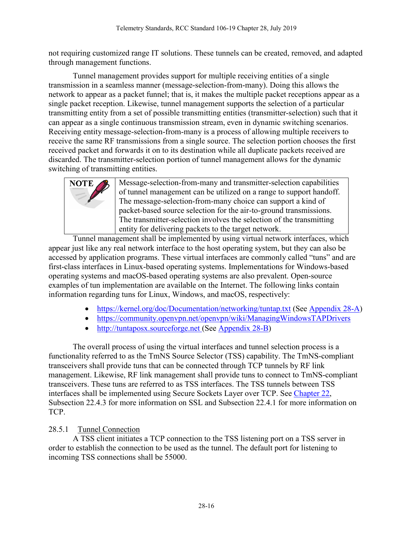not requiring customized range IT solutions. These tunnels can be created, removed, and adapted through management functions.

Tunnel management provides support for multiple receiving entities of a single transmission in a seamless manner (message-selection-from-many). Doing this allows the network to appear as a packet funnel; that is, it makes the multiple packet receptions appear as a single packet reception. Likewise, tunnel management supports the selection of a particular transmitting entity from a set of possible transmitting entities (transmitter-selection) such that it can appear as a single continuous transmission stream, even in dynamic switching scenarios. Receiving entity message-selection-from-many is a process of allowing multiple receivers to receive the same RF transmissions from a single source. The selection portion chooses the first received packet and forwards it on to its destination while all duplicate packets received are discarded. The transmitter-selection portion of tunnel management allows for the dynamic switching of transmitting entities.



Message-selection-from-many and transmitter-selection capabilities of tunnel management can be utilized on a range to support handoff. The message-selection-from-many choice can support a kind of packet-based source selection for the air-to-ground transmissions. The transmitter-selection involves the selection of the transmitting entity for delivering packets to the target network.

Tunnel management shall be implemented by using virtual network interfaces, which appear just like any real network interface to the host operating system, but they can also be accessed by application programs. These virtual interfaces are commonly called "tuns" and are first-class interfaces in Linux-based operating systems. Implementations for Windows-based operating systems and macOS-based operating systems are also prevalent. Open-source examples of tun implementation are available on the Internet. The following links contain information regarding tuns for Linux, Windows, and macOS, respectively:

- <https://kernel.org/doc/Documentation/networking/tuntap.txt> (See [Appendix 28-A\)](#page-22-1)
- <https://community.openvpn.net/openvpn/wiki/ManagingWindowsTAPDrivers>
- [http://tuntaposx.sourceforge.net](http://tuntaposx.sourceforge.net/) (See [Appendix 28-B\)](#page-28-1)

The overall process of using the virtual interfaces and tunnel selection process is a functionality referred to as the TmNS Source Selector (TSS) capability. The TmNS-compliant transceivers shall provide tuns that can be connected through TCP tunnels by RF link management. Likewise, RF link management shall provide tuns to connect to TmNS-compliant transceivers. These tuns are referred to as TSS interfaces. The TSS tunnels between TSS interfaces shall be implemented using Secure Sockets Layer over TCP. See [Chapter 22,](http://www.wsmr.army.mil/RCCsite/Documents/106-19_Telemetry_Standards/Chapter22.pdf) Subsection 22.4.3 for more information on SSL and Subsection 22.4.1 for more information on TCP.

## <span id="page-19-0"></span>28.5.1 Tunnel Connection

A TSS client initiates a TCP connection to the TSS listening port on a TSS server in order to establish the connection to be used as the tunnel. The default port for listening to incoming TSS connections shall be 55000.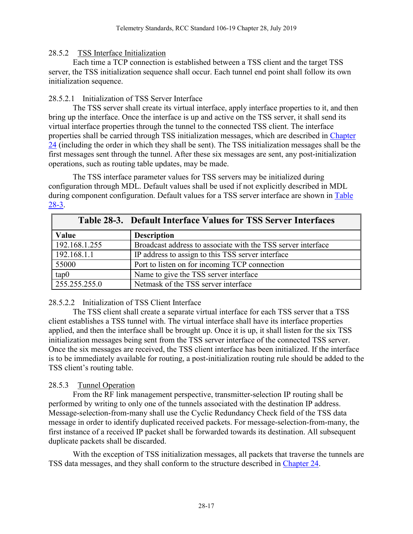#### <span id="page-20-0"></span>28.5.2 TSS Interface Initialization

Each time a TCP connection is established between a TSS client and the target TSS server, the TSS initialization sequence shall occur. Each tunnel end point shall follow its own initialization sequence.

#### 28.5.2.1 Initialization of TSS Server Interface

The TSS server shall create its virtual interface, apply interface properties to it, and then bring up the interface. Once the interface is up and active on the TSS server, it shall send its virtual interface properties through the tunnel to the connected TSS client. The interface properties shall be carried through TSS initialization messages, which are described in [Chapter](http://www.wsmr.army.mil/RCCsite/Documents/106-19_Telemetry_Standards/Chapter24.pdf)  [24](http://www.wsmr.army.mil/RCCsite/Documents/106-19_Telemetry_Standards/Chapter24.pdf) (including the order in which they shall be sent). The TSS initialization messages shall be the first messages sent through the tunnel. After these six messages are sent, any post-initialization operations, such as routing table updates, may be made.

The TSS interface parameter values for TSS servers may be initialized during configuration through MDL. Default values shall be used if not explicitly described in MDL during component configuration. Default values for a TSS server interface are shown in Table [28-3.](#page-20-2)

<span id="page-20-2"></span>

| Table 28-3. Default Interface Values for TSS Server Interfaces |                                                              |
|----------------------------------------------------------------|--------------------------------------------------------------|
| Value                                                          | <b>Description</b>                                           |
| 192.168.1.255                                                  | Broadcast address to associate with the TSS server interface |
| 192.168.1.1                                                    | IP address to assign to this TSS server interface            |
| 55000                                                          | Port to listen on for incoming TCP connection                |
| tan 0                                                          | Name to give the TSS server interface                        |
| 255.255.255.0                                                  | Netmask of the TSS server interface                          |

## 28.5.2.2 Initialization of TSS Client Interface

The TSS client shall create a separate virtual interface for each TSS server that a TSS client establishes a TSS tunnel with. The virtual interface shall have its interface properties applied, and then the interface shall be brought up. Once it is up, it shall listen for the six TSS initialization messages being sent from the TSS server interface of the connected TSS server. Once the six messages are received, the TSS client interface has been initialized. If the interface is to be immediately available for routing, a post-initialization routing rule should be added to the TSS client's routing table.

## <span id="page-20-1"></span>28.5.3 Tunnel Operation

From the RF link management perspective, transmitter-selection IP routing shall be performed by writing to only one of the tunnels associated with the destination IP address. Message-selection-from-many shall use the Cyclic Redundancy Check field of the TSS data message in order to identify duplicated received packets. For message-selection-from-many, the first instance of a received IP packet shall be forwarded towards its destination. All subsequent duplicate packets shall be discarded.

With the exception of TSS initialization messages, all packets that traverse the tunnels are TSS data messages, and they shall conform to the structure described in [Chapter 24.](http://www.wsmr.army.mil/RCCsite/Documents/106-19_Telemetry_Standards/Chapter24.pdf)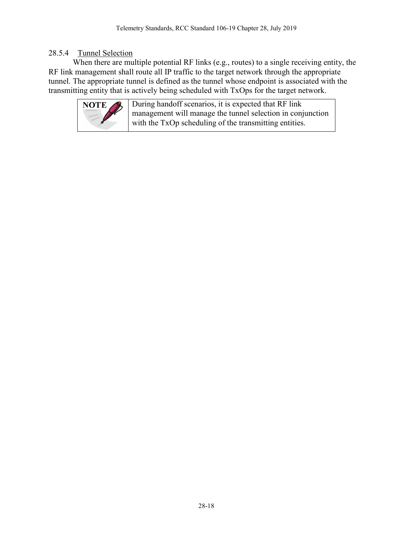#### <span id="page-21-0"></span>28.5.4 Tunnel Selection

When there are multiple potential RF links (e.g., routes) to a single receiving entity, the RF link management shall route all IP traffic to the target network through the appropriate tunnel. The appropriate tunnel is defined as the tunnel whose endpoint is associated with the transmitting entity that is actively being scheduled with TxOps for the target network.



During handoff scenarios, it is expected that RF link management will manage the tunnel selection in conjunction with the TxOp scheduling of the transmitting entities.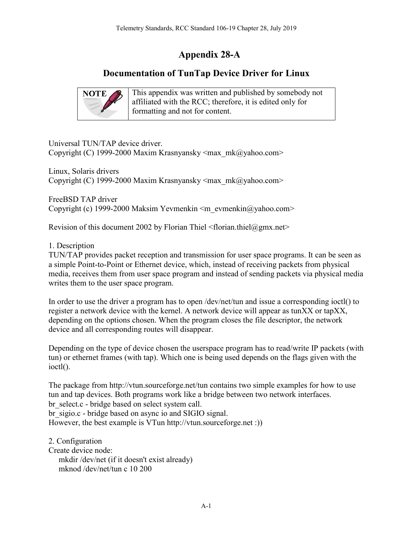# <span id="page-22-0"></span>Appendix 28-A

# **Documentation of TunTap Device Driver for Linux**

<span id="page-22-1"></span>

This appendix was written and published by somebody not affiliated with the RCC; therefore, it is edited only for formatting and not for content.

Universal TUN/TAP device driver. Copyright (C) 1999-2000 Maxim Krasnyansky  $\langle \text{max}$  mk@yahoo.com>

Linux, Solaris drivers Copyright (C) 1999-2000 Maxim Krasnyansky  $\langle \text{max\_mk}(a) \rangle$ yahoo.com>

FreeBSD TAP driver Copyright (c) 1999-2000 Maksim Yevmenkin  $\leq m$  evmenkin@yahoo.com>

Revision of this document 2002 by Florian Thiel  $\langle$  florian.thiel@gmx.net $\rangle$ 

1. Description

TUN/TAP provides packet reception and transmission for user space programs. It can be seen as a simple Point-to-Point or Ethernet device, which, instead of receiving packets from physical media, receives them from user space program and instead of sending packets via physical media writes them to the user space program.

In order to use the driver a program has to open /dev/net/tun and issue a corresponding ioctl() to register a network device with the kernel. A network device will appear as tunXX or tapXX, depending on the options chosen. When the program closes the file descriptor, the network device and all corresponding routes will disappear.

Depending on the type of device chosen the userspace program has to read/write IP packets (with tun) or ethernet frames (with tap). Which one is being used depends on the flags given with the ioctl().

The package from http://vtun.sourceforge.net/tun contains two simple examples for how to use tun and tap devices. Both programs work like a bridge between two network interfaces. br select.c - bridge based on select system call. br sigio.c - bridge based on async io and SIGIO signal. However, the best example is VTun http://vtun.sourceforge.net :))

2. Configuration Create device node: mkdir /dev/net (if it doesn't exist already) mknod /dev/net/tun c 10 200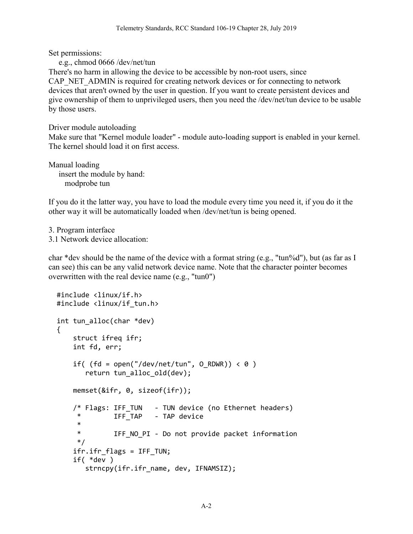Set permissions:

e.g., chmod 0666 /dev/net/tun

There's no harm in allowing the device to be accessible by non-root users, since CAP\_NET\_ADMIN is required for creating network devices or for connecting to network devices that aren't owned by the user in question. If you want to create persistent devices and give ownership of them to unprivileged users, then you need the /dev/net/tun device to be usable by those users.

Driver module autoloading

Make sure that "Kernel module loader" - module auto-loading support is enabled in your kernel. The kernel should load it on first access.

Manual loading insert the module by hand: modprobe tun

If you do it the latter way, you have to load the module every time you need it, if you do it the other way it will be automatically loaded when /dev/net/tun is being opened.

3. Program interface

3.1 Network device allocation:

char \*dev should be the name of the device with a format string (e.g., "tun%d"), but (as far as I can see) this can be any valid network device name. Note that the character pointer becomes overwritten with the real device name (e.g., "tun0")

```
 #include <linux/if.h>
  #include <linux/if_tun.h>
 int tun alloc(char *dev)
  {
      struct ifreq ifr;
      int fd, err;
     if( (fd = open("/dev/net/tun", 0 RDWR)) < 0 )return tun alloc old(dev);
      memset(&ifr, 0, sizeof(ifr));
     /* Flags: IFF_TUN - TUN device (no Ethernet headers)
       * IFF_TAP - TAP device 
\star * IFF_NO_PI - Do not provide packet information 
       */ 
      ifr.ifr_flags = IFF_TUN; 
      if( *dev )
         strncpy(ifr.ifr_name, dev, IFNAMSIZ);
```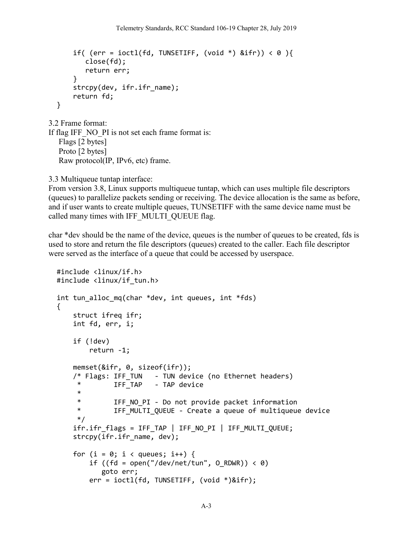```
if( (err = ioctl(fd, TUNSETIFF, (void *) &\text{diff}) < 0 ){
           close(fd);
           return err;
        }
        strcpy(dev, ifr.ifr_name);
        return fd;
   } 
3.2 Frame format:
```

```
If flag IFF NO PI is not set each frame format is:
    Flags [2 bytes]
   Proto [2 bytes]
    Raw protocol(IP, IPv6, etc) frame.
```
3.3 Multiqueue tuntap interface:

From version 3.8, Linux supports multiqueue tuntap, which can uses multiple file descriptors (queues) to parallelize packets sending or receiving. The device allocation is the same as before, and if user wants to create multiple queues, TUNSETIFF with the same device name must be called many times with IFF\_MULTI\_QUEUE flag.

char \*dev should be the name of the device, queues is the number of queues to be created, fds is used to store and return the file descriptors (queues) created to the caller. Each file descriptor were served as the interface of a queue that could be accessed by userspace.

```
 #include <linux/if.h>
  #include <linux/if_tun.h>
 int tun alloc mq(char *dev, int queues, int *fds)
  {
      struct ifreq ifr;
      int fd, err, i;
      if (!dev)
          return -1;
      memset(&ifr, 0, sizeof(ifr));
     /* Flags: IFF TUN - TUN device (no Ethernet headers)
       * IFF_TAP - TAP device
\star * IFF_NO_PI - Do not provide packet information
       * IFF_MULTI_QUEUE - Create a queue of multiqueue device
       */
      ifr.ifr_flags = IFF_TAP | IFF_NO_PI | IFF_MULTI_QUEUE;
      strcpy(ifr.ifr_name, dev);
     for (i = 0; i < queues; i++) {
         if ((fd = open("/dev/net/tun", 0_RDWR)) < 0) goto err;
          err = ioctl(fd, TUNSETIFF, (void *)&ifr);
```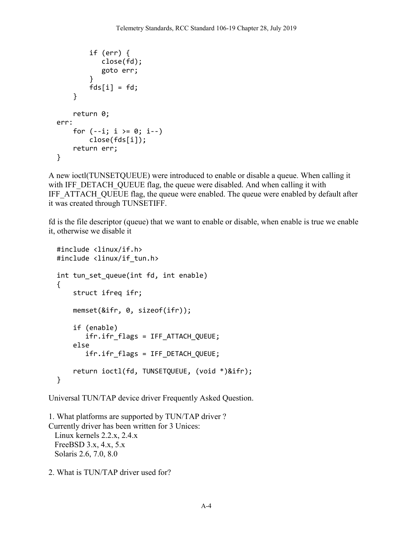```
 if (err) {
              close(fd);
              goto err;
 }
          fds[i] = fd; }
       return 0;
  err:
      for (-i; i) = 0; i--)
           close(fds[i]);
       return err;
  }
```
A new ioctl(TUNSETQUEUE) were introduced to enable or disable a queue. When calling it with IFF\_DETACH\_QUEUE flag, the queue were disabled. And when calling it with IFF\_ATTACH\_QUEUE flag, the queue were enabled. The queue were enabled by default after it was created through TUNSETIFF.

fd is the file descriptor (queue) that we want to enable or disable, when enable is true we enable it, otherwise we disable it

```
 #include <linux/if.h>
 #include <linux/if_tun.h>
 int tun_set_queue(int fd, int enable)
 {
     struct ifreq ifr;
     memset(&ifr, 0, sizeof(ifr));
     if (enable)
        ifr.ifr_flags = IFF_ATTACH_QUEUE;
     else
        ifr.ifr_flags = IFF_DETACH_QUEUE;
     return ioctl(fd, TUNSETQUEUE, (void *)&ifr);
 }
```
Universal TUN/TAP device driver Frequently Asked Question.

1. What platforms are supported by TUN/TAP driver ? Currently driver has been written for 3 Unices: Linux kernels 2.2.x, 2.4.x FreeBSD 3.x, 4.x, 5.x Solaris 2.6, 7.0, 8.0

2. What is TUN/TAP driver used for?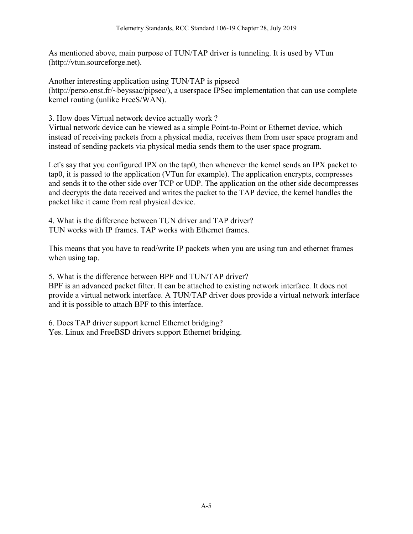As mentioned above, main purpose of TUN/TAP driver is tunneling. It is used by VTun (http://vtun.sourceforge.net).

Another interesting application using TUN/TAP is pipsecd (http://perso.enst.fr/~beyssac/pipsec/), a userspace IPSec implementation that can use complete kernel routing (unlike FreeS/WAN).

3. How does Virtual network device actually work ?

Virtual network device can be viewed as a simple Point-to-Point or Ethernet device, which instead of receiving packets from a physical media, receives them from user space program and instead of sending packets via physical media sends them to the user space program.

Let's say that you configured IPX on the tap0, then whenever the kernel sends an IPX packet to tap0, it is passed to the application (VTun for example). The application encrypts, compresses and sends it to the other side over TCP or UDP. The application on the other side decompresses and decrypts the data received and writes the packet to the TAP device, the kernel handles the packet like it came from real physical device.

4. What is the difference between TUN driver and TAP driver? TUN works with IP frames. TAP works with Ethernet frames.

This means that you have to read/write IP packets when you are using tun and ethernet frames when using tap.

5. What is the difference between BPF and TUN/TAP driver?

BPF is an advanced packet filter. It can be attached to existing network interface. It does not provide a virtual network interface. A TUN/TAP driver does provide a virtual network interface and it is possible to attach BPF to this interface.

6. Does TAP driver support kernel Ethernet bridging? Yes. Linux and FreeBSD drivers support Ethernet bridging.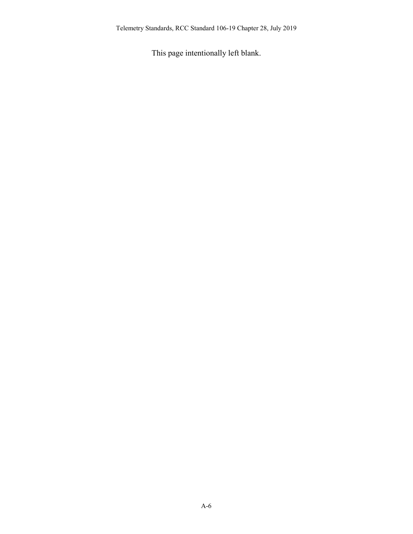This page intentionally left blank.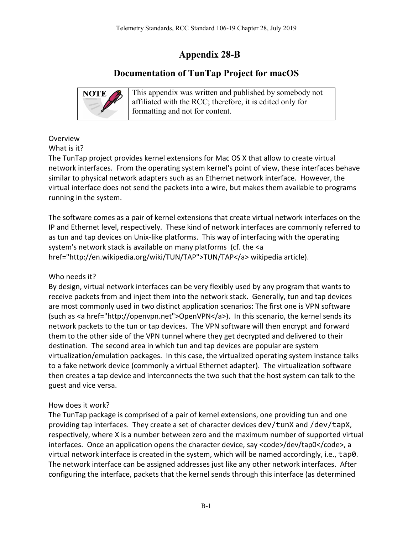# <span id="page-28-0"></span>**Appendix 28-B**

# **Documentation of TunTap Project for macOS**

<span id="page-28-1"></span>

This appendix was written and published by somebody not affiliated with the RCC; therefore, it is edited only for formatting and not for content.

#### Overview What is it?

The TunTap project provides kernel extensions for Mac OS X that allow to create virtual network interfaces. From the operating system kernel's point of view, these interfaces behave similar to physical network adapters such as an Ethernet network interface. However, the virtual interface does not send the packets into a wire, but makes them available to programs running in the system.

The software comes as a pair of kernel extensions that create virtual network interfaces on the IP and Ethernet level, respectively. These kind of network interfaces are commonly referred to as tun and tap devices on Unix-like platforms. This way of interfacing with the operating system's network stack is available on many platforms (cf. the <a href="http://en.wikipedia.org/wiki/TUN/TAP">TUN/TAP</a> wikipedia article).

## Who needs it?

By design, virtual network interfaces can be very flexibly used by any program that wants to receive packets from and inject them into the network stack. Generally, tun and tap devices are most commonly used in two distinct application scenarios: The first one is VPN software (such as <a href="http://openvpn.net">OpenVPN</a>). In this scenario, the kernel sends its network packets to the tun or tap devices. The VPN software will then encrypt and forward them to the other side of the VPN tunnel where they get decrypted and delivered to their destination. The second area in which tun and tap devices are popular are system virtualization/emulation packages. In this case, the virtualized operating system instance talks to a fake network device (commonly a virtual Ethernet adapter). The virtualization software then creates a tap device and interconnects the two such that the host system can talk to the guest and vice versa.

#### How does it work?

The TunTap package is comprised of a pair of kernel extensions, one providing tun and one providing tap interfaces. They create a set of character devices dev/tunX and /dev/tapX, respectively, where X is a number between zero and the maximum number of supported virtual  $interfaces.$  Once an application opens the character device, say <code>/dev/tap0</code>, a virtual network interface is created in the system, which will be named accordingly, i.e., tap0. The network interface can be assigned addresses just like any other network interfaces. After configuring the interface, packets that the kernel sends through this interface (as determined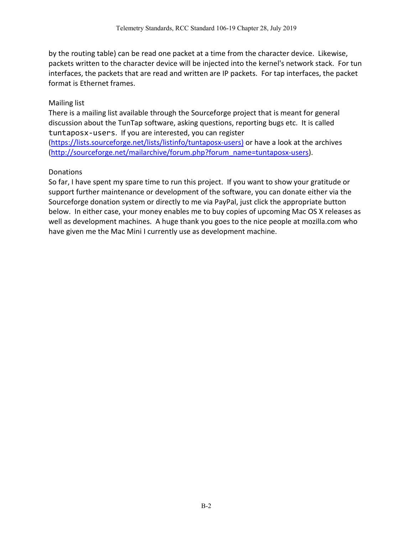by the routing table) can be read one packet at a time from the character device. Likewise, packets written to the character device will be injected into the kernel's network stack. For tun interfaces, the packets that are read and written are IP packets. For tap interfaces, the packet format is Ethernet frames.

#### Mailing list

There is a mailing list available through the Sourceforge project that is meant for general discussion about the TunTap software, asking questions, reporting bugs etc. It is called tuntaposx-users. If you are interested, you can register [\(https://lists.sourceforge.net/lists/listinfo/tuntaposx-users\)](https://lists.sourceforge.net/lists/listinfo/tuntaposx-users)) or have a look at the archives [\(http://sourceforge.net/mailarchive/forum.php?forum\\_name=tuntaposx-users\)](http://sourceforge.net/mailarchive/forum.php?forum_name=tuntaposx-users).

#### Donations

So far, I have spent my spare time to run this project. If you want to show your gratitude or support further maintenance or development of the software, you can donate either via the Sourceforge donation system or directly to me via PayPal, just click the appropriate button below. In either case, your money enables me to buy copies of upcoming Mac OS X releases as well as development machines. A huge thank you goes to the nice people at mozilla.com who have given me the Mac Mini I currently use as development machine.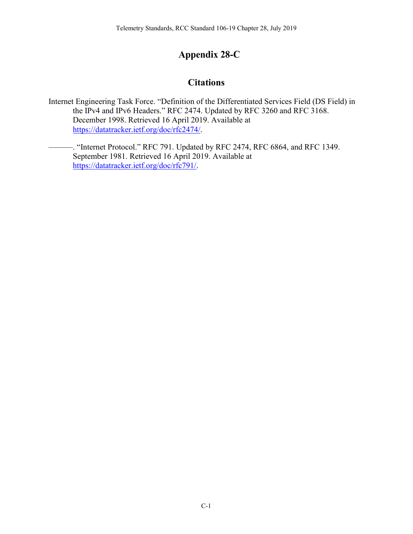# **Appendix 28-C**

# <span id="page-30-0"></span>**Citations**

Internet Engineering Task Force. "Definition of the Differentiated Services Field (DS Field) in the IPv4 and IPv6 Headers." RFC 2474. Updated by RFC 3260 and RFC 3168. December 1998. Retrieved 16 April 2019. Available at [https://datatracker.ietf.org/doc/rfc2474/.](https://datatracker.ietf.org/doc/rfc2474/)

———. "Internet Protocol." RFC 791. Updated by RFC 2474, RFC 6864, and RFC 1349. September 1981. Retrieved 16 April 2019. Available at [https://datatracker.ietf.org/doc/rfc791/.](https://datatracker.ietf.org/doc/rfc791/)